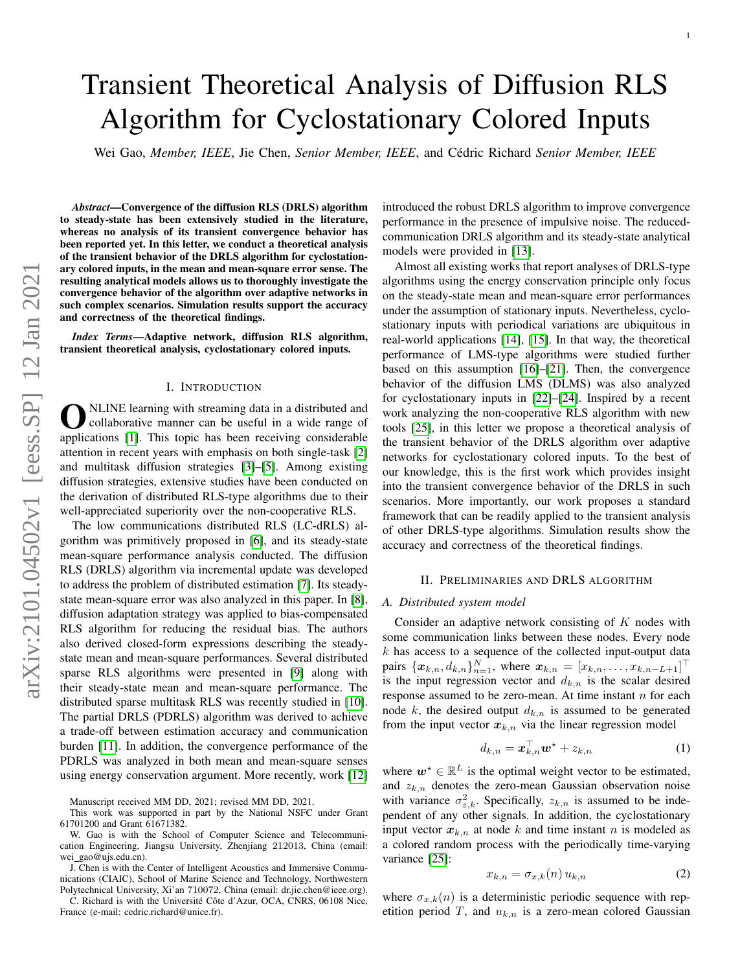# Transient Theoretical Analysis of Diffusion RLS Algorithm for Cyclostationary Colored Inputs

Wei Gao, Member, IEEE, Jie Chen, Senior Member, IEEE, and Cédric Richard Senior Member, IEEE

*Abstract*—Convergence of the diffusion RLS (DRLS) algorithm to steady-state has been extensively studied in the literature, whereas no analysis of its transient convergence behavior has been reported yet. In this letter, we conduct a theoretical analysis of the transient behavior of the DRLS algorithm for cyclostationary colored inputs, in the mean and mean-square error sense. The resulting analytical models allows us to thoroughly investigate the convergence behavior of the algorithm over adaptive networks in such complex scenarios. Simulation results support the accuracy and correctness of the theoretical findings.

*Index Terms*—Adaptive network, diffusion RLS algorithm, transient theoretical analysis, cyclostationary colored inputs.

#### I. INTRODUCTION

**O** NLINE learning with streaming data in a distributed and collaborative manner can be useful in a wide range of applications [\[1\]](#page-4-0). This topic has been receiving considerable NLINE learning with streaming data in a distributed and collaborative manner can be useful in a wide range of attention in recent years with emphasis on both single-task [\[2\]](#page-4-1) and multitask diffusion strategies [\[3\]](#page-4-2)–[\[5\]](#page-4-3). Among existing diffusion strategies, extensive studies have been conducted on the derivation of distributed RLS-type algorithms due to their well-appreciated superiority over the non-cooperative RLS.

The low communications distributed RLS (LC-dRLS) algorithm was primitively proposed in [\[6\]](#page-4-4), and its steady-state mean-square performance analysis conducted. The diffusion RLS (DRLS) algorithm via incremental update was developed to address the problem of distributed estimation [\[7\]](#page-4-5). Its steadystate mean-square error was also analyzed in this paper. In [\[8\]](#page-4-6), diffusion adaptation strategy was applied to bias-compensated RLS algorithm for reducing the residual bias. The authors also derived closed-form expressions describing the steadystate mean and mean-square performances. Several distributed sparse RLS algorithms were presented in [\[9\]](#page-4-7) along with their steady-state mean and mean-square performance. The distributed sparse multitask RLS was recently studied in [\[10\]](#page-4-8). The partial DRLS (PDRLS) algorithm was derived to achieve a trade-off between estimation accuracy and communication burden [\[11\]](#page-4-9). In addition, the convergence performance of the PDRLS was analyzed in both mean and mean-square senses using energy conservation argument. More recently, work [\[12\]](#page-4-10)

Manuscript received MM DD, 2021; revised MM DD, 2021.

This work was supported in part by the National NSFC under Grant 61701200 and Grant 61671382.

W. Gao is with the School of Computer Science and Telecommunication Engineering, Jiangsu University, Zhenjiang 212013, China (email: wei\_gao@ujs.edu.cn).

J. Chen is with the Center of Intelligent Acoustics and Immersive Communications (CIAIC), School of Marine Science and Technology, Northwestern Polytechnical University, Xi'an 710072, China (email: dr.jie.chen@ieee.org).

C. Richard is with the Université Côte d'Azur, OCA, CNRS, 06108 Nice, France (e-mail: cedric.richard@unice.fr).

introduced the robust DRLS algorithm to improve convergence performance in the presence of impulsive noise. The reducedcommunication DRLS algorithm and its steady-state analytical models were provided in [\[13\]](#page-4-11).

Almost all existing works that report analyses of DRLS-type algorithms using the energy conservation principle only focus on the steady-state mean and mean-square error performances under the assumption of stationary inputs. Nevertheless, cyclostationary inputs with periodical variations are ubiquitous in real-world applications [\[14\]](#page-4-12), [\[15\]](#page-4-13). In that way, the theoretical performance of LMS-type algorithms were studied further based on this assumption [\[16\]](#page-4-14)–[\[21\]](#page-4-15). Then, the convergence behavior of the diffusion LMS (DLMS) was also analyzed for cyclostationary inputs in [\[22\]](#page-4-16)–[\[24\]](#page-4-17). Inspired by a recent work analyzing the non-cooperative RLS algorithm with new tools [\[25\]](#page-4-18), in this letter we propose a theoretical analysis of the transient behavior of the DRLS algorithm over adaptive networks for cyclostationary colored inputs. To the best of our knowledge, this is the first work which provides insight into the transient convergence behavior of the DRLS in such scenarios. More importantly, our work proposes a standard framework that can be readily applied to the transient analysis of other DRLS-type algorithms. Simulation results show the accuracy and correctness of the theoretical findings.

## II. PRELIMINARIES AND DRLS ALGORITHM

#### *A. Distributed system model*

Consider an adaptive network consisting of K nodes with some communication links between these nodes. Every node  $k$  has access to a sequence of the collected input-output data pairs  $\{x_{k,n}, d_{k,n}\}_{n=1}^N$ , where  $x_{k,n} = [x_{k,n}, \ldots, x_{k,n-L+1}]^{\top}$ is the input regression vector and  $d_{k,n}$  is the scalar desired response assumed to be zero-mean. At time instant  $n$  for each node k, the desired output  $d_{k,n}$  is assumed to be generated from the input vector  $x_{k,n}$  via the linear regression model

<span id="page-0-1"></span>
$$
d_{k,n} = \boldsymbol{x}_{k,n}^{\top} \boldsymbol{w}^{\star} + z_{k,n} \tag{1}
$$

where  $w^* \in \mathbb{R}^L$  is the optimal weight vector to be estimated, and  $z_{k,n}$  denotes the zero-mean Gaussian observation noise with variance  $\sigma_{z,k}^2$ . Specifically,  $z_{k,n}$  is assumed to be independent of any other signals. In addition, the cyclostationary input vector  $x_{k,n}$  at node k and time instant n is modeled as a colored random process with the periodically time-varying variance [\[25\]](#page-4-18):

<span id="page-0-0"></span>
$$
x_{k,n} = \sigma_{x,k}(n) u_{k,n} \tag{2}
$$

where  $\sigma_{x,k}(n)$  is a deterministic periodic sequence with repetition period T, and  $u_{k,n}$  is a zero-mean colored Gaussian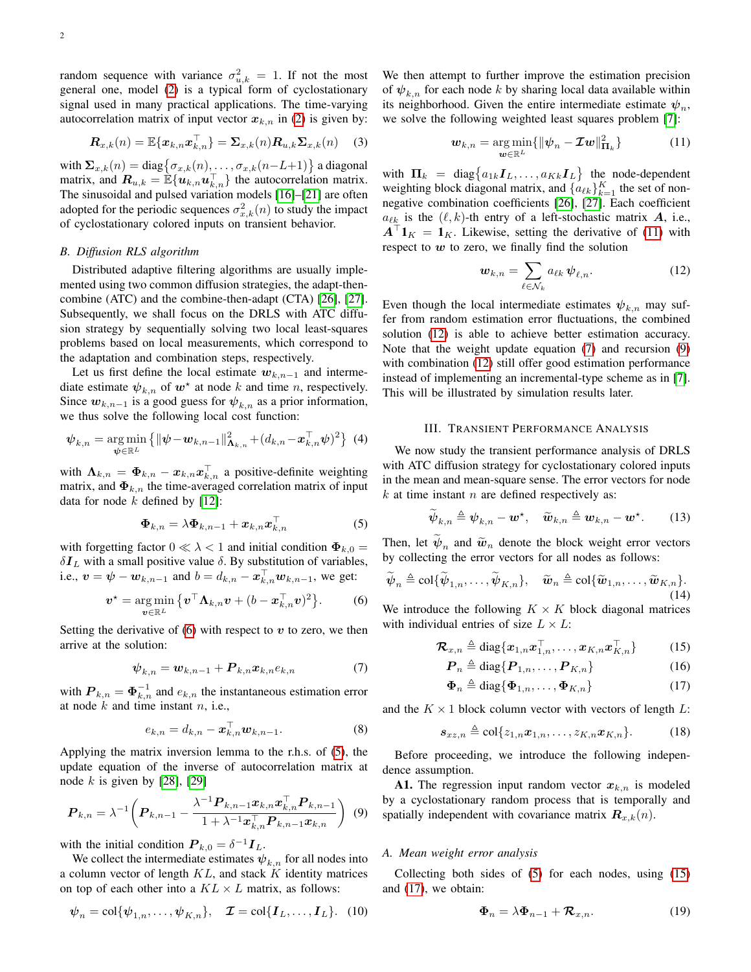$$
\boldsymbol{R}_{x,k}(n) = \mathbb{E}\{\boldsymbol{x}_{k,n}\boldsymbol{x}_{k,n}^{\top}\} = \boldsymbol{\Sigma}_{x,k}(n)\boldsymbol{R}_{u,k}\boldsymbol{\Sigma}_{x,k}(n) \quad (3)
$$

with  $\Sigma_{x,k}(n) = \text{diag}\big\{\sigma_{x,k}(n), \ldots, \sigma_{x,k}(n-L+1)\big\}$  a diagonal matrix, and  $\mathbf{R}_{u,k} = \mathbb{E}\{\mathbf{u}_{k,n}\mathbf{u}_{k,n}^{\top}\}\$  the autocorrelation matrix. The sinusoidal and pulsed variation models [\[16\]](#page-4-14)–[\[21\]](#page-4-15) are often adopted for the periodic sequences  $\sigma_{x,k}^2(n)$  to study the impact of cyclostationary colored inputs on transient behavior.

## *B. Diffusion RLS algorithm*

Distributed adaptive filtering algorithms are usually implemented using two common diffusion strategies, the adapt-thencombine (ATC) and the combine-then-adapt (CTA) [\[26\]](#page-4-19), [\[27\]](#page-4-20). Subsequently, we shall focus on the DRLS with ATC diffusion strategy by sequentially solving two local least-squares problems based on local measurements, which correspond to the adaptation and combination steps, respectively.

Let us first define the local estimate  $w_{k,n-1}$  and intermediate estimate  $\psi_{k,n}$  of  $w^*$  at node k and time n, respectively. Since  $w_{k,n-1}$  is a good guess for  $\psi_{k,n}$  as a prior information, we thus solve the following local cost function:

$$
\psi_{k,n} = \underset{\psi \in \mathbb{R}^L}{\arg \min} \left\{ \|\psi - \bm{w}_{k,n-1}\|_{\bm{\Lambda}_{k,n}}^2 + (d_{k,n} - \bm{x}_{k,n}^\top \psi)^2 \right\} (4)
$$

with  $\Lambda_{k,n} = \Phi_{k,n} - x_{k,n} x_{k,n}^{\top}$  a positive-definite weighting matrix, and  $\Phi_{k,n}$  the time-averaged correlation matrix of input data for node  $k$  defined by [\[12\]](#page-4-10):

<span id="page-1-1"></span>
$$
\mathbf{\Phi}_{k,n} = \lambda \mathbf{\Phi}_{k,n-1} + \boldsymbol{x}_{k,n} \boldsymbol{x}_{k,n}^{\top} \tag{5}
$$

with forgetting factor  $0 \ll \lambda < 1$  and initial condition  $\Phi_{k,0} =$  $\delta I_L$  with a small positive value  $\delta$ . By substitution of variables, i.e.,  $\mathbf{v} = \mathbf{\psi} - \mathbf{w}_{k,n-1}$  and  $b = d_{k,n} - \mathbf{x}_{k,n}^{\top} \mathbf{w}_{k,n-1}$ , we get:

<span id="page-1-0"></span>
$$
\boldsymbol{v}^{\star} = \underset{\boldsymbol{v} \in \mathbb{R}^{L}}{\arg \min} \left\{ \boldsymbol{v}^{\top} \boldsymbol{\Lambda}_{k,n} \boldsymbol{v} + (b - \boldsymbol{x}_{k,n}^{\top} \boldsymbol{v})^{2} \right\}.
$$
 (6)

Setting the derivative of  $(6)$  with respect to v to zero, we then arrive at the solution:

<span id="page-1-4"></span>
$$
\boldsymbol{\psi}_{k,n} = \boldsymbol{w}_{k,n-1} + \boldsymbol{P}_{k,n} \boldsymbol{x}_{k,n} e_{k,n} \tag{7}
$$

with  $P_{k,n} = \mathbf{\Phi}_{k,n}^{-1}$  and  $e_{k,n}$  the instantaneous estimation error at node  $k$  and time instant  $n$ , i.e.,

<span id="page-1-8"></span>
$$
e_{k,n} = d_{k,n} - \boldsymbol{x}_{k,n}^{\top} \boldsymbol{w}_{k,n-1}.
$$
 (8)

Applying the matrix inversion lemma to the r.h.s. of [\(5\)](#page-1-1), the update equation of the inverse of autocorrelation matrix at node  $k$  is given by [\[28\]](#page-4-21), [\[29\]](#page-4-22)

<span id="page-1-5"></span>
$$
\boldsymbol{P}_{k,n} = \lambda^{-1} \bigg( \boldsymbol{P}_{k,n-1} - \frac{\lambda^{-1} \boldsymbol{P}_{k,n-1} \boldsymbol{x}_{k,n} \boldsymbol{x}_{k,n}^{\top} \boldsymbol{P}_{k,n-1}}{1 + \lambda^{-1} \boldsymbol{x}_{k,n}^{\top} \boldsymbol{P}_{k,n-1} \boldsymbol{x}_{k,n}} \bigg) \tag{9}
$$

with the initial condition  $P_{k,0} = \delta^{-1} I_L$ .

We collect the intermediate estimates  $\psi_{k,n}$  for all nodes into a column vector of length  $KL$ , and stack K identity matrices on top of each other into a  $KL \times L$  matrix, as follows:

$$
\boldsymbol{\psi}_n = \text{col}\{\boldsymbol{\psi}_{1,n}, \dots, \boldsymbol{\psi}_{K,n}\}, \quad \boldsymbol{\mathcal{I}} = \text{col}\{\boldsymbol{I}_L, \dots, \boldsymbol{I}_L\}. \quad (10)
$$

We then attempt to further improve the estimation precision of  $\psi_{k,n}$  for each node k by sharing local data available within its neighborhood. Given the entire intermediate estimate  $\psi_n$ , we solve the following weighted least squares problem [\[7\]](#page-4-5):

<span id="page-1-2"></span>
$$
\boldsymbol{w}_{k,n} = \underset{\boldsymbol{w} \in \mathbb{R}^L}{\arg \min} \{ \|\boldsymbol{\psi}_n - \boldsymbol{\mathcal{I}} \boldsymbol{w}\|_{\boldsymbol{\Pi}_k}^2 \} \tag{11}
$$

with  $\Pi_k = \text{diag}\left\{a_{1k}\mathbf{I}_k, \dots, a_{Kk}\mathbf{I}_L\right\}$  the node-dependent weighting block diagonal matrix, and  $\{a_{\ell k}\}_{k=1}^K$  the set of nonnegative combination coefficients [\[26\]](#page-4-19), [\[27\]](#page-4-20). Each coefficient  $a_{\ell k}$  is the  $(\ell, k)$ -th entry of a left-stochastic matrix A, i.e.,  $A^{\top}1_K = 1_K$ . Likewise, setting the derivative of [\(11\)](#page-1-2) with respect to  $w$  to zero, we finally find the solution

<span id="page-1-3"></span>
$$
\boldsymbol{w}_{k,n} = \sum_{\ell \in \mathcal{N}_k} a_{\ell k} \, \boldsymbol{\psi}_{\ell,n}.
$$
 (12)

Even though the local intermediate estimates  $\psi_{k,n}$  may suffer from random estimation error fluctuations, the combined solution [\(12\)](#page-1-3) is able to achieve better estimation accuracy. Note that the weight update equation [\(7\)](#page-1-4) and recursion [\(9\)](#page-1-5) with combination [\(12\)](#page-1-3) still offer good estimation performance instead of implementing an incremental-type scheme as in [\[7\]](#page-4-5). This will be illustrated by simulation results later.

## III. TRANSIENT PERFORMANCE ANALYSIS

We now study the transient performance analysis of DRLS with ATC diffusion strategy for cyclostationary colored inputs in the mean and mean-square sense. The error vectors for node  $k$  at time instant  $n$  are defined respectively as:

<span id="page-1-9"></span>
$$
\widetilde{\boldsymbol{\psi}}_{k,n} \triangleq \boldsymbol{\psi}_{k,n} - \boldsymbol{w}^{\star}, \quad \widetilde{\boldsymbol{w}}_{k,n} \triangleq \boldsymbol{w}_{k,n} - \boldsymbol{w}^{\star}.
$$
 (13)

Then, let  $\psi_n$  and  $\widetilde{\omega}_n$  denote the block weight error vectors<br>by collecting the error vectors for all nodes as follows: by collecting the error vectors for all nodes as follows:

<span id="page-1-10"></span>
$$
\widetilde{\boldsymbol{\psi}}_n \triangleq \text{col}\{\widetilde{\boldsymbol{\psi}}_{1,n},\ldots,\widetilde{\boldsymbol{\psi}}_{K,n}\}, \quad \widetilde{\boldsymbol{w}}_n \triangleq \text{col}\{\widetilde{\boldsymbol{w}}_{1,n},\ldots,\widetilde{\boldsymbol{w}}_{K,n}\}.
$$
\n(14)

We introduce the following  $K \times K$  block diagonal matrices with individual entries of size  $L \times L$ :

$$
\boldsymbol{\mathcal{R}}_{x,n} \triangleq \text{diag}\{\boldsymbol{x}_{1,n}\boldsymbol{x}_{1,n}^{\top},\ldots,\boldsymbol{x}_{K,n}\boldsymbol{x}_{K,n}^{\top}\}\
$$
 (15)

<span id="page-1-11"></span><span id="page-1-7"></span><span id="page-1-6"></span>
$$
\boldsymbol{P}_n \triangleq \text{diag}\{\boldsymbol{P}_{1,n}, \dots, \boldsymbol{P}_{K,n}\} \tag{16}
$$

$$
\mathbf{\Phi}_n \triangleq \text{diag}\{\mathbf{\Phi}_{1,n}, \dots, \mathbf{\Phi}_{K,n}\}\tag{17}
$$

and the  $K \times 1$  block column vector with vectors of length  $L$ :

<span id="page-1-12"></span>
$$
\mathbf{s}_{xz,n} \triangleq \text{col}\{z_{1,n}\mathbf{x}_{1,n},\ldots,z_{K,n}\mathbf{x}_{K,n}\}.
$$
 (18)

Before proceeding, we introduce the following independence assumption.

A1. The regression input random vector  $x_{k,n}$  is modeled by a cyclostationary random process that is temporally and spatially independent with covariance matrix  $\mathbf{R}_{x,k}(n)$ .

#### *A. Mean weight error analysis*

Collecting both sides of [\(5\)](#page-1-1) for each nodes, using [\(15\)](#page-1-6) and [\(17\)](#page-1-7), we obtain:

<span id="page-1-13"></span>
$$
\Phi_n = \lambda \Phi_{n-1} + \mathcal{R}_{x,n}.
$$
 (19)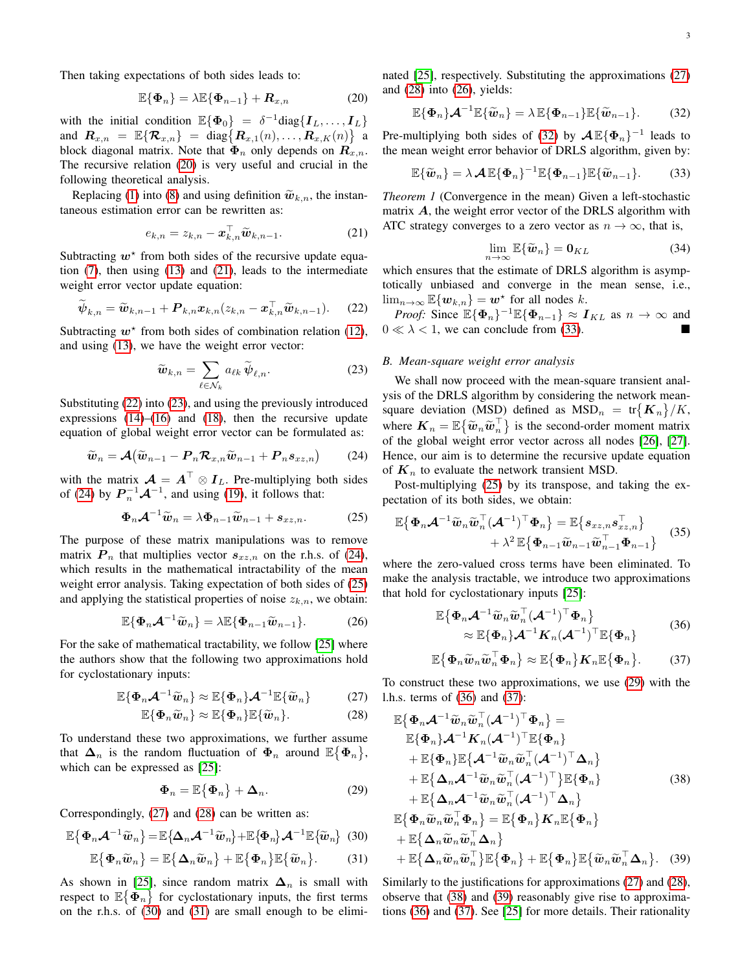Then taking expectations of both sides leads to:

<span id="page-2-0"></span>
$$
\mathbb{E}\{\Phi_n\} = \lambda \mathbb{E}\{\Phi_{n-1}\} + \mathbf{R}_{x,n} \tag{20}
$$

with the initial condition  $\mathbb{E}\{\Phi_0\} = \delta^{-1} \text{diag}\{I_L, \dots, I_L\}$ and  $\bm{R}_{x,n} = \mathbb{E} \{ \bm{\mathcal{R}}_{x,n} \} = \text{diag} \{ \bm{R}_{x,1}(n), \ldots, \bm{R}_{x,K}(n) \}$  a block diagonal matrix. Note that  $\Phi_n$  only depends on  $\mathbf{R}_{x,n}$ . The recursive relation [\(20\)](#page-2-0) is very useful and crucial in the following theoretical analysis.

Replacing [\(1\)](#page-0-1) into [\(8\)](#page-1-8) and using definition  $\widetilde{\boldsymbol{w}}_{k,n}$ , the instantaneous estimation error can be rewritten as:

<span id="page-2-1"></span>
$$
e_{k,n} = z_{k,n} - \boldsymbol{x}_{k,n}^{\top} \widetilde{\boldsymbol{w}}_{k,n-1}.
$$
 (21)

Subtracting  $w^*$  from both sides of the recursive update equation [\(7\)](#page-1-4), then using [\(13\)](#page-1-9) and [\(21\)](#page-2-1), leads to the intermediate weight error vector update equation:

<span id="page-2-2"></span>
$$
\widetilde{\boldsymbol{\psi}}_{k,n} = \widetilde{\boldsymbol{w}}_{k,n-1} + \boldsymbol{P}_{k,n} \boldsymbol{x}_{k,n} (z_{k,n} - \boldsymbol{x}_{k,n}^\top \widetilde{\boldsymbol{w}}_{k,n-1}). \tag{22}
$$

Subtracting  $w^*$  from both sides of combination relation [\(12\)](#page-1-3), and using [\(13\)](#page-1-9), we have the weight error vector:

<span id="page-2-3"></span>
$$
\widetilde{\boldsymbol{w}}_{k,n} = \sum_{\ell \in \mathcal{N}_k} a_{\ell k} \, \widetilde{\boldsymbol{\psi}}_{\ell,n}.
$$
 (23)

Substituting [\(22\)](#page-2-2) into [\(23\)](#page-2-3), and using the previously introduced expressions  $(14)$ – $(16)$  and  $(18)$ , then the recursive update equation of global weight error vector can be formulated as:

<span id="page-2-4"></span>
$$
\widetilde{\boldsymbol{w}}_n = \mathcal{A}(\widetilde{\boldsymbol{w}}_{n-1} - \boldsymbol{P}_n \boldsymbol{\mathcal{R}}_{x,n} \widetilde{\boldsymbol{w}}_{n-1} + \boldsymbol{P}_n \boldsymbol{s}_{xz,n}) \qquad (24)
$$

with the matrix  $\mathcal{A} = A^{\top} \otimes I_L$ . Pre-multiplying both sides of [\(24\)](#page-2-4) by  $\boldsymbol{P}_n^{-1}\boldsymbol{\mathcal{A}}^{-1}$ , and using [\(19\)](#page-1-13), it follows that:

<span id="page-2-5"></span>
$$
\Phi_n \mathcal{A}^{-1} \widetilde{\boldsymbol{w}}_n = \lambda \Phi_{n-1} \widetilde{\boldsymbol{w}}_{n-1} + \boldsymbol{s}_{xz,n}.
$$
 (25)

The purpose of these matrix manipulations was to remove matrix  $P_n$  that multiplies vector  $s_{xz,n}$  on the r.h.s. of [\(24\)](#page-2-4), which results in the mathematical intractability of the mean weight error analysis. Taking expectation of both sides of [\(25\)](#page-2-5) and applying the statistical properties of noise  $z_{k,n}$ , we obtain:

<span id="page-2-10"></span>
$$
\mathbb{E}\{\Phi_n\mathcal{A}^{-1}\widetilde{\boldsymbol{w}}_n\} = \lambda \mathbb{E}\{\Phi_{n-1}\widetilde{\boldsymbol{w}}_{n-1}\}.
$$
 (26)

For the sake of mathematical tractability, we follow [\[25\]](#page-4-18) where the authors show that the following two approximations hold for cyclostationary inputs:

$$
\mathbb{E}\{\Phi_n\mathcal{A}^{-1}\widetilde{w}_n\} \approx \mathbb{E}\{\Phi_n\}\mathcal{A}^{-1}\mathbb{E}\{\widetilde{w}_n\} \tag{27}
$$

$$
\mathbb{E}\{\Phi_n\widetilde{\boldsymbol{w}}_n\}\approx\mathbb{E}\{\Phi_n\}\mathbb{E}\{\widetilde{\boldsymbol{w}}_n\}.
$$
 (28)

To understand these two approximations, we further assume that  $\Delta_n$  is the random fluctuation of  $\Phi_n$  around  $\mathbb{E}\{\Phi_n\},$ which can be expressed as [\[25\]](#page-4-18):

<span id="page-2-13"></span>
$$
\Phi_n = \mathbb{E}\{\Phi_n\} + \Delta_n. \tag{29}
$$

Correspondingly, [\(27\)](#page-2-6) and [\(28\)](#page-2-7) can be written as:

<span id="page-2-8"></span>
$$
\mathbb{E}\left\{\mathbf{\Phi}_{n}\mathbf{\mathcal{A}}^{-1}\widetilde{\mathbf{w}}_{n}\right\}=\mathbb{E}\left\{\mathbf{\Delta}_{n}\mathbf{\mathcal{A}}^{-1}\widetilde{\mathbf{w}}_{n}\right\}+\mathbb{E}\left\{\mathbf{\Phi}_{n}\right\}\mathbf{\mathcal{A}}^{-1}\mathbb{E}\left\{\widetilde{\mathbf{w}}_{n}\right\}\tag{30}
$$

<span id="page-2-9"></span>
$$
\mathbb{E}\{\Phi_n\widetilde{\boldsymbol{w}}_n\} = \mathbb{E}\{\Delta_n\widetilde{\boldsymbol{w}}_n\} + \mathbb{E}\{\Phi_n\}\mathbb{E}\{\widetilde{\boldsymbol{w}}_n\}.
$$
 (31)

As shown in [\[25\]](#page-4-18), since random matrix  $\Delta_n$  is small with respect to  $\mathbb{E}\{\Phi_n\}$  for cyclostationary inputs, the first terms on the r.h.s. of [\(30\)](#page-2-8) and [\(31\)](#page-2-9) are small enough to be eliminated [\[25\]](#page-4-18), respectively. Substituting the approximations [\(27\)](#page-2-6) and [\(28\)](#page-2-7) into [\(26\)](#page-2-10), yields:

<span id="page-2-11"></span>
$$
\mathbb{E}\{\Phi_n\}\mathcal{A}^{-1}\mathbb{E}\{\widetilde{\boldsymbol{w}}_n\} = \lambda \mathbb{E}\{\Phi_{n-1}\}\mathbb{E}\{\widetilde{\boldsymbol{w}}_{n-1}\}.
$$
 (32)

Pre-multiplying both sides of [\(32\)](#page-2-11) by  $\mathcal{A}\mathbb{E}\{\Phi_n\}^{-1}$  leads to the mean weight error behavior of DRLS algorithm, given by:

<span id="page-2-12"></span>
$$
\mathbb{E}\{\widetilde{\boldsymbol{w}}_n\} = \lambda \mathcal{A} \mathbb{E}\{\boldsymbol{\Phi}_n\}^{-1} \mathbb{E}\{\boldsymbol{\Phi}_{n-1}\} \mathbb{E}\{\widetilde{\boldsymbol{w}}_{n-1}\}.
$$
 (33)

*Theorem 1* (Convergence in the mean) Given a left-stochastic matrix  $\vec{A}$ , the weight error vector of the DRLS algorithm with ATC strategy converges to a zero vector as  $n \to \infty$ , that is,

$$
\lim_{n \to \infty} \mathbb{E}\{\widetilde{\boldsymbol{w}}_n\} = \mathbf{0}_{KL} \tag{34}
$$

which ensures that the estimate of DRLS algorithm is asymptotically unbiased and converge in the mean sense, i.e.,  $\lim_{n\to\infty} \mathbb{E}\{\mathbf{w}_{k,n}\} = \mathbf{w}^*$  for all nodes k.

*Proof:* Since  $\mathbb{E}\{\Phi_n\}^{-1}\mathbb{E}\{\Phi_{n-1}\}\approx I_{KL}$  as  $n \to \infty$  and  $0 \ll \lambda < 1$ , we can conclude from [\(33\)](#page-2-12).

# *B. Mean-square weight error analysis*

We shall now proceed with the mean-square transient analysis of the DRLS algorithm by considering the network meansquare deviation (MSD) defined as  $\text{MSD}_n = \text{tr}\{\boldsymbol{K}_n\}/K$ , where  $K_n = \mathbb{E}\{\tilde{w}_n \tilde{w}_n^{\top}\}\$  is the second-order moment matrix of the global weight grow vector ecross all nodes [26] [27] of the global weight error vector across all nodes [\[26\]](#page-4-19), [\[27\]](#page-4-20). Hence, our aim is to determine the recursive update equation of  $K_n$  to evaluate the network transient MSD.

Post-multiplying [\(25\)](#page-2-5) by its transpose, and taking the expectation of its both sides, we obtain:

<span id="page-2-18"></span>
$$
\mathbb{E}\left\{\Phi_n\mathcal{A}^{-1}\widetilde{\boldsymbol{w}}_n\widetilde{\boldsymbol{w}}_n^\top(\mathcal{A}^{-1})^\top\Phi_n\right\} = \mathbb{E}\left\{s_{xz,n}s_{xz,n}^\top\right\} + \lambda^2 \mathbb{E}\left\{\Phi_{n-1}\widetilde{\boldsymbol{w}}_{n-1}^\top\widetilde{\boldsymbol{w}}_{n-1}^\top\Phi_{n-1}\right\}
$$
(35)

where the zero-valued cross terms have been eliminated. To make the analysis tractable, we introduce two approximations that hold for cyclostationary inputs [\[25\]](#page-4-18):

<span id="page-2-14"></span>
$$
\mathbb{E}\left\{\Phi_n\mathcal{A}^{-1}\widetilde{\boldsymbol{w}}_n\widetilde{\boldsymbol{w}}_n^\top(\mathcal{A}^{-1})^\top\Phi_n\right\}\approx \mathbb{E}\{\Phi_n\}\mathcal{A}^{-1}\boldsymbol{K}_n(\mathcal{A}^{-1})^\top\mathbb{E}\{\Phi_n\}
$$
\n(36)

<span id="page-2-16"></span><span id="page-2-15"></span>
$$
\mathbb{E}\big\{\boldsymbol{\Phi}_n\widetilde{\boldsymbol{w}}_n\widetilde{\boldsymbol{w}}_n^\top\boldsymbol{\Phi}_n\big\} \approx \mathbb{E}\big\{\boldsymbol{\Phi}_n\big\}\boldsymbol{K}_n\mathbb{E}\big\{\boldsymbol{\Phi}_n\big\}.\tag{37}
$$

<span id="page-2-7"></span><span id="page-2-6"></span>To construct these two approximations, we use [\(29\)](#page-2-13) with the l.h.s. terms of [\(36\)](#page-2-14) and [\(37\)](#page-2-15):

$$
\mathbb{E}\{\Phi_n \mathcal{A}^{-1} \widetilde{\boldsymbol{w}}_n \widetilde{\boldsymbol{w}}_n^\top (\mathcal{A}^{-1})^\top \Phi_n\} = \n\mathbb{E}\{\Phi_n\} \mathcal{A}^{-1} \mathbf{K}_n (\mathcal{A}^{-1})^\top \mathbb{E}\{\Phi_n\} \n+ \mathbb{E}\{\Phi_n\} \mathbb{E}\{\mathcal{A}^{-1} \widetilde{\boldsymbol{w}}_n \widetilde{\boldsymbol{w}}_n^\top (\mathcal{A}^{-1})^\top \Delta_n\} \n+ \mathbb{E}\{\Delta_n \mathcal{A}^{-1} \widetilde{\boldsymbol{w}}_n \widetilde{\boldsymbol{w}}_n^\top (\mathcal{A}^{-1})^\top\} \mathbb{E}\{\Phi_n\} \n+ \mathbb{E}\{\Delta_n \mathcal{A}^{-1} \widetilde{\boldsymbol{w}}_n \widetilde{\boldsymbol{w}}_n^\top (\mathcal{A}^{-1})^\top\} \mathbb{E}\{\Phi_n\} \n+ \mathbb{E}\{\Delta_n \mathcal{A}^{-1} \widetilde{\boldsymbol{w}}_n \widetilde{\boldsymbol{w}}_n^\top (\mathcal{A}^{-1})^\top \Delta_n\} \n+ \mathbb{E}\{\Phi_n \widetilde{\boldsymbol{w}}_n \widetilde{\boldsymbol{w}}_n^\top \Phi_n\} = \mathbb{E}\{\Phi_n\} K_n \mathbb{E}\{\Phi_n\} \n+ \mathbb{E}\{\Delta_n \widetilde{\boldsymbol{w}}_n \widetilde{\boldsymbol{w}}_n^\top \Delta_n\} \n+ \mathbb{E}\{\Delta_n \widetilde{\boldsymbol{w}}_n \widetilde{\boldsymbol{w}}_n^\top\} \mathbb{E}\{\Phi_n\} + \mathbb{E}\{\Phi_n\} \mathbb{E}\{\widetilde{\boldsymbol{w}}_n \widetilde{\boldsymbol{w}}_n^\top \Delta_n\}.
$$
\n(39)

<span id="page-2-17"></span>Similarly to the justifications for approximations [\(27\)](#page-2-6) and [\(28\)](#page-2-7), observe that [\(38\)](#page-2-16) and [\(39\)](#page-2-17) reasonably give rise to approximations [\(36\)](#page-2-14) and [\(37\)](#page-2-15). See [\[25\]](#page-4-18) for more details. Their rationality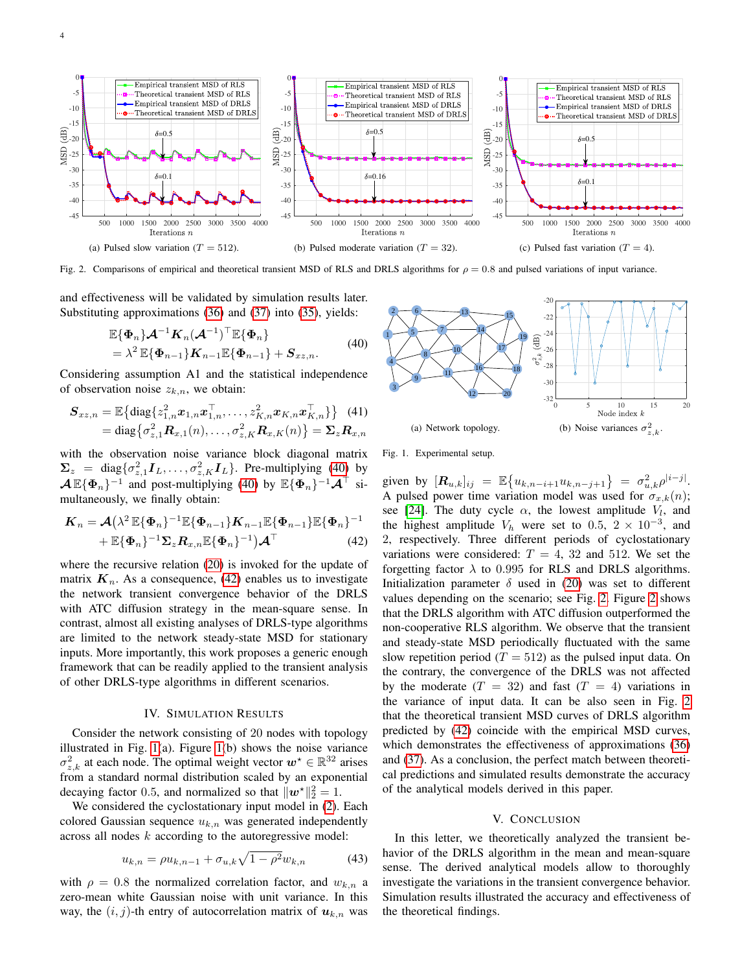

<span id="page-3-3"></span>Fig. 2. Comparisons of empirical and theoretical transient MSD of RLS and DRLS algorithms for  $\rho = 0.8$  and pulsed variations of input variance.

and effectiveness will be validated by simulation results later. Substituting approximations [\(36\)](#page-2-14) and [\(37\)](#page-2-15) into [\(35\)](#page-2-18), yields:

$$
\mathbb{E}\{\Phi_n\}\mathcal{A}^{-1}\mathbf{K}_n(\mathcal{A}^{-1})^{\top}\mathbb{E}\{\Phi_n\} \n= \lambda^2 \mathbb{E}\{\Phi_{n-1}\}\mathbf{K}_{n-1}\mathbb{E}\{\Phi_{n-1}\} + \mathbf{S}_{xz,n}.
$$
\n(40)

<span id="page-3-0"></span>Considering assumption A1 and the statistical independence of observation noise  $z_{k,n}$ , we obtain:

$$
S_{xz,n} = \mathbb{E} \{ \text{diag} \{ z_{1,n}^2 \bm{x}_{1,n} \bm{x}_{1,n}^{\top}, \dots, z_{K,n}^2 \bm{x}_{K,n} \bm{x}_{K,n}^{\top} \} \} \quad (41)
$$
  
= diag \{ \sigma\_{z,1}^2 \bm{R}\_{x,1}(n), \dots, \sigma\_{z,K}^2 \bm{R}\_{x,K}(n) \} = \Sigma\_z \bm{R}\_{x,n}

with the observation noise variance block diagonal matrix  $\Sigma_z = \text{diag}\{\sigma_{z,1}^2 \mathbf{I}_L, \dots, \sigma_{z,K}^2 \mathbf{I}_L\}.$  Pre-multiplying [\(40\)](#page-3-0) by  $\mathcal{A}\,\mathbb{E}\{\Phi_n\}^{-1}$  and post-multiplying [\(40\)](#page-3-0) by  $\mathbb{E}\{\Phi_n\}^{-1}\mathcal{A}^{\top}$  simultaneously, we finally obtain:

$$
\mathbf{K}_n = \mathcal{A} \left( \lambda^2 \mathbb{E} \{ \boldsymbol{\Phi}_n \}^{-1} \mathbb{E} \{ \boldsymbol{\Phi}_{n-1} \} \mathbf{K}_{n-1} \mathbb{E} \{ \boldsymbol{\Phi}_{n-1} \} \mathbb{E} \{ \boldsymbol{\Phi}_n \}^{-1} + \mathbb{E} \{ \boldsymbol{\Phi}_n \}^{-1} \boldsymbol{\Sigma}_z \mathbf{R}_{x,n} \mathbb{E} \{ \boldsymbol{\Phi}_n \}^{-1} \right) \mathcal{A}^{\top}
$$
(42)

where the recursive relation [\(20\)](#page-2-0) is invoked for the update of matrix  $K_n$ . As a consequence, [\(42\)](#page-3-1) enables us to investigate the network transient convergence behavior of the DRLS with ATC diffusion strategy in the mean-square sense. In contrast, almost all existing analyses of DRLS-type algorithms are limited to the network steady-state MSD for stationary inputs. More importantly, this work proposes a generic enough framework that can be readily applied to the transient analysis of other DRLS-type algorithms in different scenarios.

# IV. SIMULATION RESULTS

Consider the network consisting of 20 nodes with topology illustrated in Fig. [1\(](#page-3-2)a). Figure [1\(](#page-3-2)b) shows the noise variance  $\sigma_{z,k}^2$  at each node. The optimal weight vector  $\mathbf{w}^* \in \mathbb{R}^{32}$  arises from a standard normal distribution scaled by an exponential decaying factor 0.5, and normalized so that  $\|\boldsymbol{w}^{\star}\|_{2}^{2} = 1$ .

We considered the cyclostationary input model in [\(2\)](#page-0-0). Each colored Gaussian sequence  $u_{k,n}$  was generated independently across all nodes  $k$  according to the autoregressive model:

$$
u_{k,n} = \rho u_{k,n-1} + \sigma_{u,k} \sqrt{1 - \rho^2} w_{k,n}
$$
 (43)

with  $\rho = 0.8$  the normalized correlation factor, and  $w_{k,n}$  a zero-mean white Gaussian noise with unit variance. In this way, the  $(i, j)$ -th entry of autocorrelation matrix of  $u_{k,n}$  was



<span id="page-3-2"></span>Fig. 1. Experimental setup.

<span id="page-3-1"></span>given by  $[\mathbf{R}_{u,k}]_{ij} = \mathbb{E} \{ u_{k,n-i+1} u_{k,n-j+1} \} = \sigma_{u,k}^2 \rho^{|i-j|}.$ A pulsed power time variation model was used for  $\sigma_{x,k}(n)$ ; see [\[24\]](#page-4-17). The duty cycle  $\alpha$ , the lowest amplitude  $V_l$ , and the highest amplitude  $V_h$  were set to 0.5,  $2 \times 10^{-3}$ , and 2, respectively. Three different periods of cyclostationary variations were considered:  $T = 4$ , 32 and 512. We set the forgetting factor  $\lambda$  to 0.995 for RLS and DRLS algorithms. Initialization parameter  $\delta$  used in [\(20\)](#page-2-0) was set to different values depending on the scenario; see Fig. [2.](#page-3-3) Figure [2](#page-3-3) shows that the DRLS algorithm with ATC diffusion outperformed the non-cooperative RLS algorithm. We observe that the transient and steady-state MSD periodically fluctuated with the same slow repetition period ( $T = 512$ ) as the pulsed input data. On the contrary, the convergence of the DRLS was not affected by the moderate  $(T = 32)$  and fast  $(T = 4)$  variations in the variance of input data. It can be also seen in Fig. [2](#page-3-3) that the theoretical transient MSD curves of DRLS algorithm predicted by [\(42\)](#page-3-1) coincide with the empirical MSD curves, which demonstrates the effectiveness of approximations [\(36\)](#page-2-14) and [\(37\)](#page-2-15). As a conclusion, the perfect match between theoretical predictions and simulated results demonstrate the accuracy of the analytical models derived in this paper.

# V. CONCLUSION

In this letter, we theoretically analyzed the transient behavior of the DRLS algorithm in the mean and mean-square sense. The derived analytical models allow to thoroughly investigate the variations in the transient convergence behavior. Simulation results illustrated the accuracy and effectiveness of the theoretical findings.